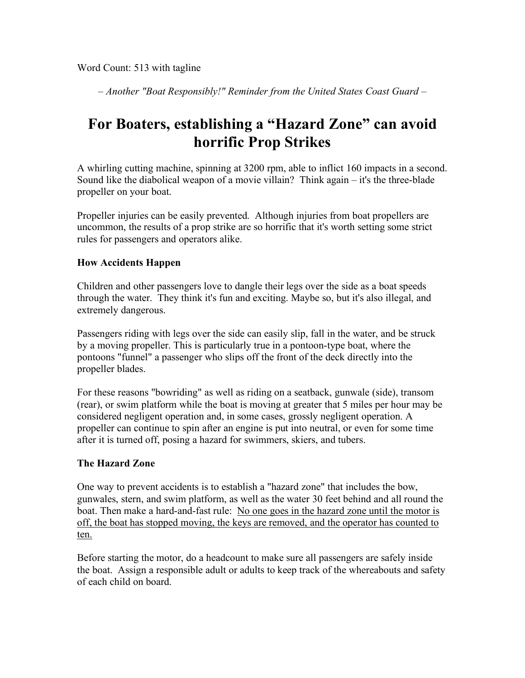*– Another "Boat Responsibly!" Reminder from the United States Coast Guard –*

## **For Boaters, establishing a "Hazard Zone" can avoid horrific Prop Strikes**

A whirling cutting machine, spinning at 3200 rpm, able to inflict 160 impacts in a second. Sound like the diabolical weapon of a movie villain? Think again – it's the three-blade propeller on your boat.

Propeller injuries can be easily prevented. Although injuries from boat propellers are uncommon, the results of a prop strike are so horrific that it's worth setting some strict rules for passengers and operators alike.

## **How Accidents Happen**

Children and other passengers love to dangle their legs over the side as a boat speeds through the water. They think it's fun and exciting. Maybe so, but it's also illegal, and extremely dangerous.

Passengers riding with legs over the side can easily slip, fall in the water, and be struck by a moving propeller. This is particularly true in a pontoon-type boat, where the pontoons "funnel" a passenger who slips off the front of the deck directly into the propeller blades.

For these reasons "bowriding" as well as riding on a seatback, gunwale (side), transom (rear), or swim platform while the boat is moving at greater that 5 miles per hour may be considered negligent operation and, in some cases, grossly negligent operation. A propeller can continue to spin after an engine is put into neutral, or even for some time after it is turned off, posing a hazard for swimmers, skiers, and tubers.

## **The Hazard Zone**

One way to prevent accidents is to establish a "hazard zone" that includes the bow, gunwales, stern, and swim platform, as well as the water 30 feet behind and all round the boat. Then make a hard-and-fast rule: No one goes in the hazard zone until the motor is off, the boat has stopped moving, the keys are removed, and the operator has counted to ten.

Before starting the motor, do a headcount to make sure all passengers are safely inside the boat. Assign a responsible adult or adults to keep track of the whereabouts and safety of each child on board.